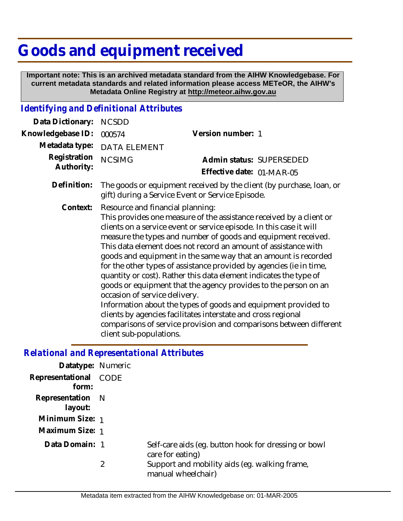## **Goods and equipment received**

 **Important note: This is an archived metadata standard from the AIHW Knowledgebase. For current metadata standards and related information please access METeOR, the AIHW's Metadata Online Registry at http://meteor.aihw.gov.au**

## *Identifying and Definitional Attributes*

| Data Dictionary:           | <b>NCSDD</b>                                                                                                                                                                                                                                                                                                                                                                                                                                                                                                                                                                                                                                                                                                                                                                                                                                                            |                                                       |
|----------------------------|-------------------------------------------------------------------------------------------------------------------------------------------------------------------------------------------------------------------------------------------------------------------------------------------------------------------------------------------------------------------------------------------------------------------------------------------------------------------------------------------------------------------------------------------------------------------------------------------------------------------------------------------------------------------------------------------------------------------------------------------------------------------------------------------------------------------------------------------------------------------------|-------------------------------------------------------|
| Knowledgebase ID:          | 000574                                                                                                                                                                                                                                                                                                                                                                                                                                                                                                                                                                                                                                                                                                                                                                                                                                                                  | Version number: 1                                     |
| Metadata type:             | <b>DATA ELEMENT</b>                                                                                                                                                                                                                                                                                                                                                                                                                                                                                                                                                                                                                                                                                                                                                                                                                                                     |                                                       |
| Registration<br>Authority: | <b>NCSIMG</b>                                                                                                                                                                                                                                                                                                                                                                                                                                                                                                                                                                                                                                                                                                                                                                                                                                                           | Admin status: SUPERSEDED<br>Effective date: 01-MAR-05 |
| Definition:                | The goods or equipment received by the client (by purchase, loan, or<br>gift) during a Service Event or Service Episode.                                                                                                                                                                                                                                                                                                                                                                                                                                                                                                                                                                                                                                                                                                                                                |                                                       |
| Context:                   | Resource and financial planning:<br>This provides one measure of the assistance received by a client or<br>clients on a service event or service episode. In this case it will<br>measure the types and number of goods and equipment received.<br>This data element does not record an amount of assistance with<br>goods and equipment in the same way that an amount is recorded<br>for the other types of assistance provided by agencies (ie in time,<br>quantity or cost). Rather this data element indicates the type of<br>goods or equipment that the agency provides to the person on an<br>occasion of service delivery.<br>Information about the types of goods and equipment provided to<br>clients by agencies facilitates interstate and cross regional<br>comparisons of service provision and comparisons between different<br>client sub-populations. |                                                       |

## *Relational and Representational Attributes*

| Datatype: Numeric              |   |                                                                          |
|--------------------------------|---|--------------------------------------------------------------------------|
| Representational CODE<br>form: |   |                                                                          |
| Representation N<br>layout:    |   |                                                                          |
| Minimum Size: 1                |   |                                                                          |
| Maximum Size: 1                |   |                                                                          |
| Data Domain: 1                 |   | Self-care aids (eq. button hook for dressing or bowl<br>care for eating) |
|                                | 2 | Support and mobility aids (eg. walking frame,<br>manual wheelchair)      |